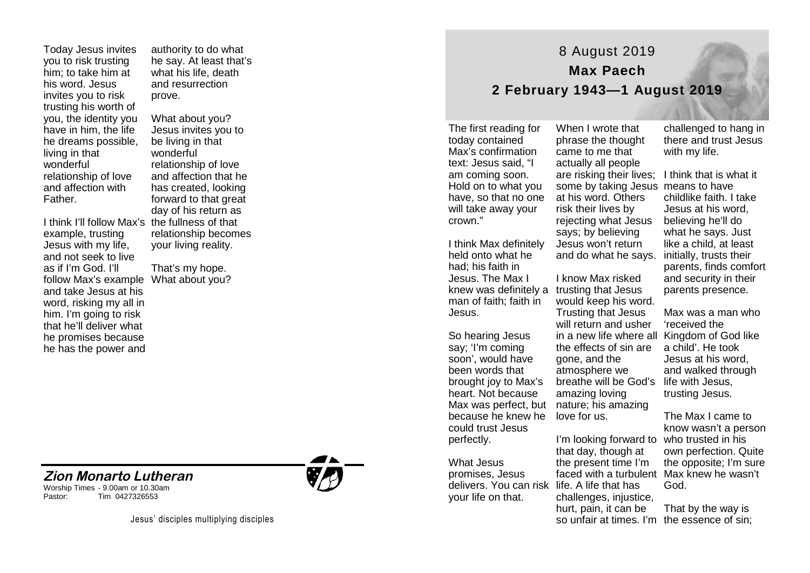Today Jesus invites you to risk trusting him; to take him at his word. Jesus invites you to risk trusting his worth of you, the identity you have in him, the life he dreams possible, living in that wonderful relationship of love and affection with Father.

I think I'll follow Max's the fullness of that example, trusting Jesus with my life, and not seek to live as if I'm God. I'll follow Max's example What about you? and take Jesus at his word, risking my all in him. I'm going to risk that he'll deliver what he promises because he has the power and

**Zion Monarto Lutheran** 

Tim 0427326553

Worship Times - 9.00am or 10.30am<br>Pastor: Tim 0427326553

authority to do what he say. At least that's what his life, death and resurrection prove.

What about you? Jesus invites you to be living in that wonderful relationship of love and affection that he has created, looking forward to that great day of his return as relationship becomes your living reality.

That's my hope.



## 8 August 2019 **Max Paech 2 February 1943—1 August 2019**

The first reading for today contained Max's confirmation text: Jesus said, "I am coming soon. Hold on to what you have, so that no one will take away your crown."

I think Max definitely held onto what he had; his faith in Jesus. The Max I knew was definitely a trusting that Jesus man of faith; faith in Jesus.

So hearing Jesus say; 'I'm coming soon', would have been words that brought joy to Max's heart. Not because because he knew he could trust Jesus perfectly.

What Jesus promises, Jesus delivers. You can risk life. A life that has your life on that.

When I wrote that phrase the thought came to me that actually all people are risking their lives; I think that is what it some by taking Jesus means to have at his word. Others risk their lives by rejecting what Jesus says; by believing Jesus won't return and do what he says. initially, trusts their

Max was perfect, but nature; his amazing I know Max risked would keep his word. Trusting that Jesus will return and usher in a new life where all Kingdom of God like the effects of sin are gone, and the atmosphere we breathe will be God's life with Jesus, amazing loving love for us.

> I'm looking forward to who trusted in his that day, though at the present time I'm faced with a turbulent Max knew he wasn't challenges, injustice, hurt, pain, it can be

challenged to hang in there and trust Jesus with my life.

childlike faith. I take Jesus at his word, believing he'll do what he says. Just like a child, at least parents, finds comfort and security in their parents presence.

Max was a man who 'received the a child'. He took Jesus at his word, and walked through trusting Jesus.

The Max I came to know wasn't a person own perfection. Quite the opposite; I'm sure God.

so unfair at times. I'm the essence of sin; That by the way is

Jesus' disciples multiplying disciples